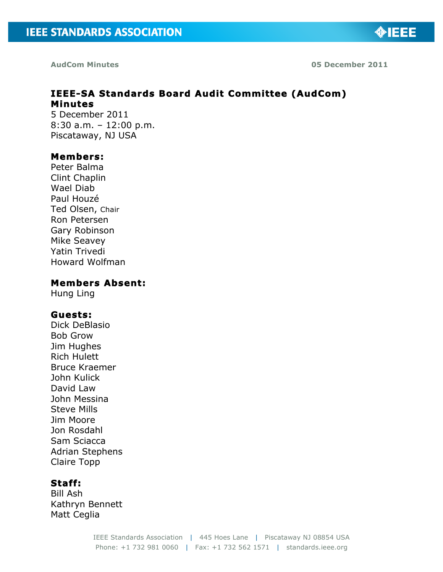

**AudCom Minutes 05 December 2011**

# **IEEE-SA Standards Board Audit Committee (AudCom) Minutes**

5 December 2011 8:30 a.m. – 12:00 p.m. Piscataway, NJ USA

# **Members:**

Peter Balma Clint Chaplin Wael Diab Paul Houzé Ted Olsen, Chair Ron Petersen Gary Robinson Mike Seavey Yatin Trivedi Howard Wolfman

# **Members Absent:**

Hung Ling

# **Guests:**

Dick DeBlasio Bob Grow Jim Hughes Rich Hulett Bruce Kraemer John Kulick David Law John Messina Steve Mills Jim Moore Jon Rosdahl Sam Sciacca Adrian Stephens Claire Topp

# **Staff:**

Bill Ash Kathryn Bennett Matt Ceglia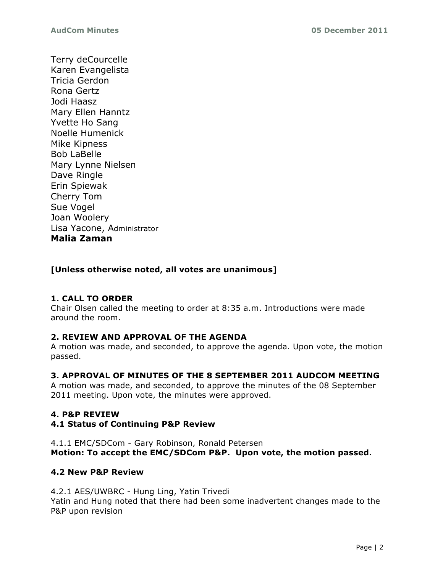Terry deCourcelle Karen Evangelista Tricia Gerdon Rona Gertz Jodi Haasz Mary Ellen Hanntz Yvette Ho Sang Noelle Humenick Mike Kipness Bob LaBelle Mary Lynne Nielsen Dave Ringle Erin Spiewak Cherry Tom Sue Vogel Joan Woolery Lisa Yacone, Administrator **Malia Zaman**

# **[Unless otherwise noted, all votes are unanimous]**

# **1. CALL TO ORDER**

Chair Olsen called the meeting to order at 8:35 a.m. Introductions were made around the room.

# **2. REVIEW AND APPROVAL OF THE AGENDA**

A motion was made, and seconded, to approve the agenda. Upon vote, the motion passed.

# **3. APPROVAL OF MINUTES OF THE 8 SEPTEMBER 2011 AUDCOM MEETING**

A motion was made, and seconded, to approve the minutes of the 08 September 2011 meeting. Upon vote, the minutes were approved.

# **4. P&P REVIEW**

### **4.1 Status of Continuing P&P Review**

4.1.1 EMC/SDCom - Gary Robinson, Ronald Petersen **Motion: To accept the EMC/SDCom P&P. Upon vote, the motion passed.**

# **4.2 New P&P Review**

4.2.1 AES/UWBRC - Hung Ling, Yatin Trivedi Yatin and Hung noted that there had been some inadvertent changes made to the P&P upon revision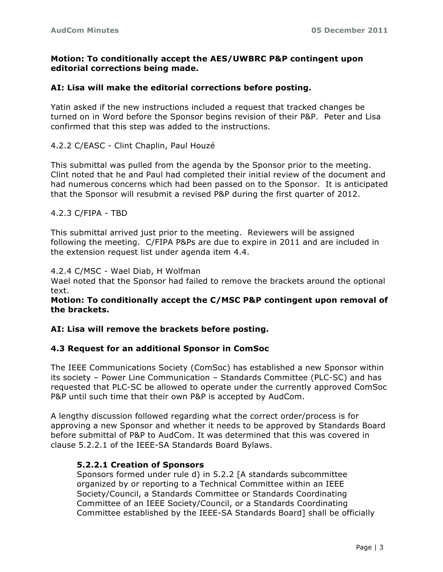### **Motion: To conditionally accept the AES/UWBRC P&P contingent upon editorial corrections being made.**

### **AI: Lisa will make the editorial corrections before posting.**

Yatin asked if the new instructions included a request that tracked changes be turned on in Word before the Sponsor begins revision of their P&P. Peter and Lisa confirmed that this step was added to the instructions.

4.2.2 C/EASC - Clint Chaplin, Paul Houzé

This submittal was pulled from the agenda by the Sponsor prior to the meeting. Clint noted that he and Paul had completed their initial review of the document and had numerous concerns which had been passed on to the Sponsor. It is anticipated that the Sponsor will resubmit a revised P&P during the first quarter of 2012.

#### 4.2.3 C/FIPA - TBD

This submittal arrived just prior to the meeting. Reviewers will be assigned following the meeting. C/FIPA P&Ps are due to expire in 2011 and are included in the extension request list under agenda item 4.4.

4.2.4 C/MSC - Wael Diab, H Wolfman

Wael noted that the Sponsor had failed to remove the brackets around the optional text.

### **Motion: To conditionally accept the C/MSC P&P contingent upon removal of the brackets.**

### **AI: Lisa will remove the brackets before posting.**

#### **4.3 Request for an additional Sponsor in ComSoc**

The IEEE Communications Society (ComSoc) has established a new Sponsor within its society – Power Line Communication – Standards Committee (PLC-SC) and has requested that PLC-SC be allowed to operate under the currently approved ComSoc P&P until such time that their own P&P is accepted by AudCom.

A lengthy discussion followed regarding what the correct order/process is for approving a new Sponsor and whether it needs to be approved by Standards Board before submittal of P&P to AudCom. It was determined that this was covered in clause 5.2.2.1 of the IEEE-SA Standards Board Bylaws.

#### **5.2.2.1 Creation of Sponsors**

Sponsors formed under rule d) in 5.2.2 [A standards subcommittee organized by or reporting to a Technical Committee within an IEEE Society/Council, a Standards Committee or Standards Coordinating Committee of an IEEE Society/Council, or a Standards Coordinating Committee established by the IEEE-SA Standards Board] shall be officially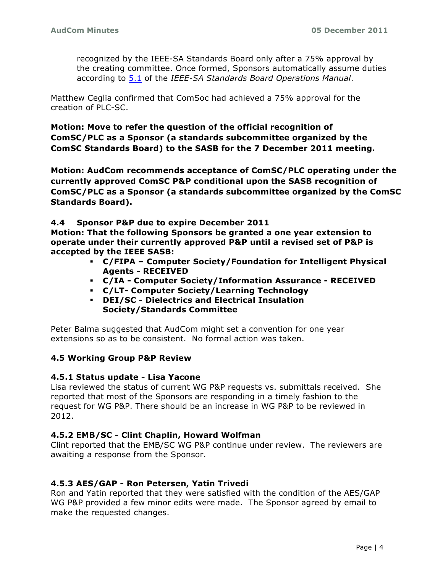recognized by the IEEE-SA Standards Board only after a 75% approval by the creating committee. Once formed, Sponsors automatically assume duties according to [5.1](http://standards.ieee.org/develop/policies/opman/sect5.html#5.1) of the *IEEE-SA Standards Board Operations Manual*.

Matthew Ceglia confirmed that ComSoc had achieved a 75% approval for the creation of PLC-SC.

**Motion: Move to refer the question of the official recognition of ComSC/PLC as a Sponsor (a standards subcommittee organized by the ComSC Standards Board) to the SASB for the 7 December 2011 meeting.**

**Motion: AudCom recommends acceptance of ComSC/PLC operating under the currently approved ComSC P&P conditional upon the SASB recognition of ComSC/PLC as a Sponsor (a standards subcommittee organized by the ComSC Standards Board).**

#### **4.4 Sponsor P&P due to expire December 2011**

**Motion: That the following Sponsors be granted a one year extension to operate under their currently approved P&P until a revised set of P&P is accepted by the IEEE SASB:**

- ! **C/FIPA – Computer Society/Foundation for Intelligent Physical Agents - RECEIVED**
- ! **C/IA - Computer Society/Information Assurance - RECEIVED**
- ! **C/LT- Computer Society/Learning Technology**
- ! **DEI/SC - Dielectrics and Electrical Insulation Society/Standards Committee**

Peter Balma suggested that AudCom might set a convention for one year extensions so as to be consistent. No formal action was taken.

### **4.5 Working Group P&P Review**

### **4.5.1 Status update - Lisa Yacone**

Lisa reviewed the status of current WG P&P requests vs. submittals received. She reported that most of the Sponsors are responding in a timely fashion to the request for WG P&P. There should be an increase in WG P&P to be reviewed in 2012.

### **4.5.2 EMB/SC - Clint Chaplin, Howard Wolfman**

Clint reported that the EMB/SC WG P&P continue under review. The reviewers are awaiting a response from the Sponsor.

### **4.5.3 AES/GAP - Ron Petersen, Yatin Trivedi**

Ron and Yatin reported that they were satisfied with the condition of the AES/GAP WG P&P provided a few minor edits were made. The Sponsor agreed by email to make the requested changes.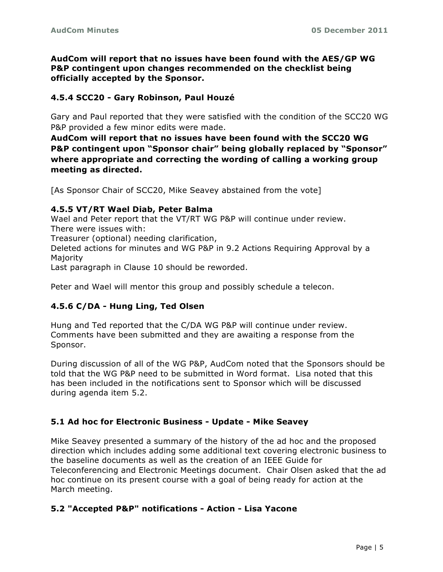**AudCom will report that no issues have been found with the AES/GP WG P&P contingent upon changes recommended on the checklist being officially accepted by the Sponsor.**

# **4.5.4 SCC20 - Gary Robinson, Paul Houzé**

Gary and Paul reported that they were satisfied with the condition of the SCC20 WG P&P provided a few minor edits were made.

**AudCom will report that no issues have been found with the SCC20 WG P&P contingent upon "Sponsor chair" being globally replaced by "Sponsor" where appropriate and correcting the wording of calling a working group meeting as directed.**

[As Sponsor Chair of SCC20, Mike Seavey abstained from the vote]

### **4.5.5 VT/RT Wael Diab, Peter Balma**

Wael and Peter report that the VT/RT WG P&P will continue under review. There were issues with:

Treasurer (optional) needing clarification,

Deleted actions for minutes and WG P&P in 9.2 Actions Requiring Approval by a Majority

Last paragraph in Clause 10 should be reworded.

Peter and Wael will mentor this group and possibly schedule a telecon.

# **4.5.6 C/DA - Hung Ling, Ted Olsen**

Hung and Ted reported that the C/DA WG P&P will continue under review. Comments have been submitted and they are awaiting a response from the Sponsor.

During discussion of all of the WG P&P, AudCom noted that the Sponsors should be told that the WG P&P need to be submitted in Word format. Lisa noted that this has been included in the notifications sent to Sponsor which will be discussed during agenda item 5.2.

# **5.1 Ad hoc for Electronic Business - Update - Mike Seavey**

Mike Seavey presented a summary of the history of the ad hoc and the proposed direction which includes adding some additional text covering electronic business to the baseline documents as well as the creation of an IEEE Guide for Teleconferencing and Electronic Meetings document. Chair Olsen asked that the ad hoc continue on its present course with a goal of being ready for action at the March meeting.

# **5.2 "Accepted P&P" notifications - Action - Lisa Yacone**